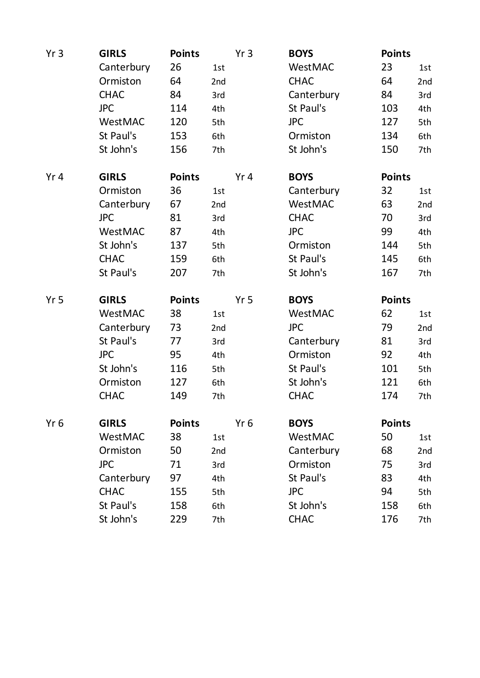| Yr <sub>3</sub> | <b>GIRLS</b> | <b>Points</b> |     | Yr <sub>3</sub> | <b>BOYS</b> | <b>Points</b> |     |
|-----------------|--------------|---------------|-----|-----------------|-------------|---------------|-----|
|                 | Canterbury   | 26            | 1st |                 | WestMAC     | 23            | 1st |
|                 | Ormiston     | 64            | 2nd |                 | <b>CHAC</b> | 64            | 2nd |
|                 | <b>CHAC</b>  | 84            | 3rd |                 | Canterbury  | 84            | 3rd |
|                 | <b>JPC</b>   | 114           | 4th |                 | St Paul's   | 103           | 4th |
|                 | WestMAC      | 120           | 5th |                 | <b>JPC</b>  | 127           | 5th |
|                 | St Paul's    | 153           | 6th |                 | Ormiston    | 134           | 6th |
|                 | St John's    | 156           | 7th |                 | St John's   | 150           | 7th |
| Yr <sub>4</sub> | <b>GIRLS</b> | <b>Points</b> |     | Yr4             | <b>BOYS</b> | <b>Points</b> |     |
|                 | Ormiston     | 36            | 1st |                 | Canterbury  | 32            | 1st |
|                 | Canterbury   | 67            | 2nd |                 | WestMAC     | 63            | 2nd |
|                 | <b>JPC</b>   | 81            | 3rd |                 | <b>CHAC</b> | 70            | 3rd |
|                 | WestMAC      | 87            | 4th |                 | <b>JPC</b>  | 99            | 4th |
|                 | St John's    | 137           | 5th |                 | Ormiston    | 144           | 5th |
|                 | <b>CHAC</b>  | 159           | 6th |                 | St Paul's   | 145           | 6th |
|                 | St Paul's    | 207           | 7th |                 | St John's   | 167           | 7th |
| Yr <sub>5</sub> | <b>GIRLS</b> | <b>Points</b> |     | Yr <sub>5</sub> | <b>BOYS</b> | <b>Points</b> |     |
|                 | WestMAC      | 38            | 1st |                 | WestMAC     | 62            | 1st |
|                 | Canterbury   | 73            | 2nd |                 | <b>JPC</b>  | 79            | 2nd |
|                 | St Paul's    | 77            | 3rd |                 | Canterbury  | 81            | 3rd |
|                 | <b>JPC</b>   | 95            | 4th |                 | Ormiston    | 92            | 4th |
|                 | St John's    | 116           | 5th |                 | St Paul's   | 101           | 5th |
|                 | Ormiston     | 127           | 6th |                 | St John's   | 121           | 6th |
|                 | <b>CHAC</b>  | 149           | 7th |                 | <b>CHAC</b> | 174           | 7th |
| Yr <sub>6</sub> | <b>GIRLS</b> | <b>Points</b> |     | Yr <sub>6</sub> | <b>BOYS</b> | <b>Points</b> |     |
|                 | WestMAC      | 38            | 1st |                 | WestMAC     | 50            | 1st |
|                 | Ormiston     | 50            | 2nd |                 | Canterbury  | 68            | 2nd |
|                 | <b>JPC</b>   | 71            | 3rd |                 | Ormiston    | 75            | 3rd |
|                 | Canterbury   | 97            | 4th |                 | St Paul's   | 83            | 4th |
|                 | <b>CHAC</b>  | 155           | 5th |                 | <b>JPC</b>  | 94            | 5th |
|                 | St Paul's    | 158           | 6th |                 | St John's   | 158           | 6th |
|                 | St John's    | 229           | 7th |                 | <b>CHAC</b> | 176           | 7th |